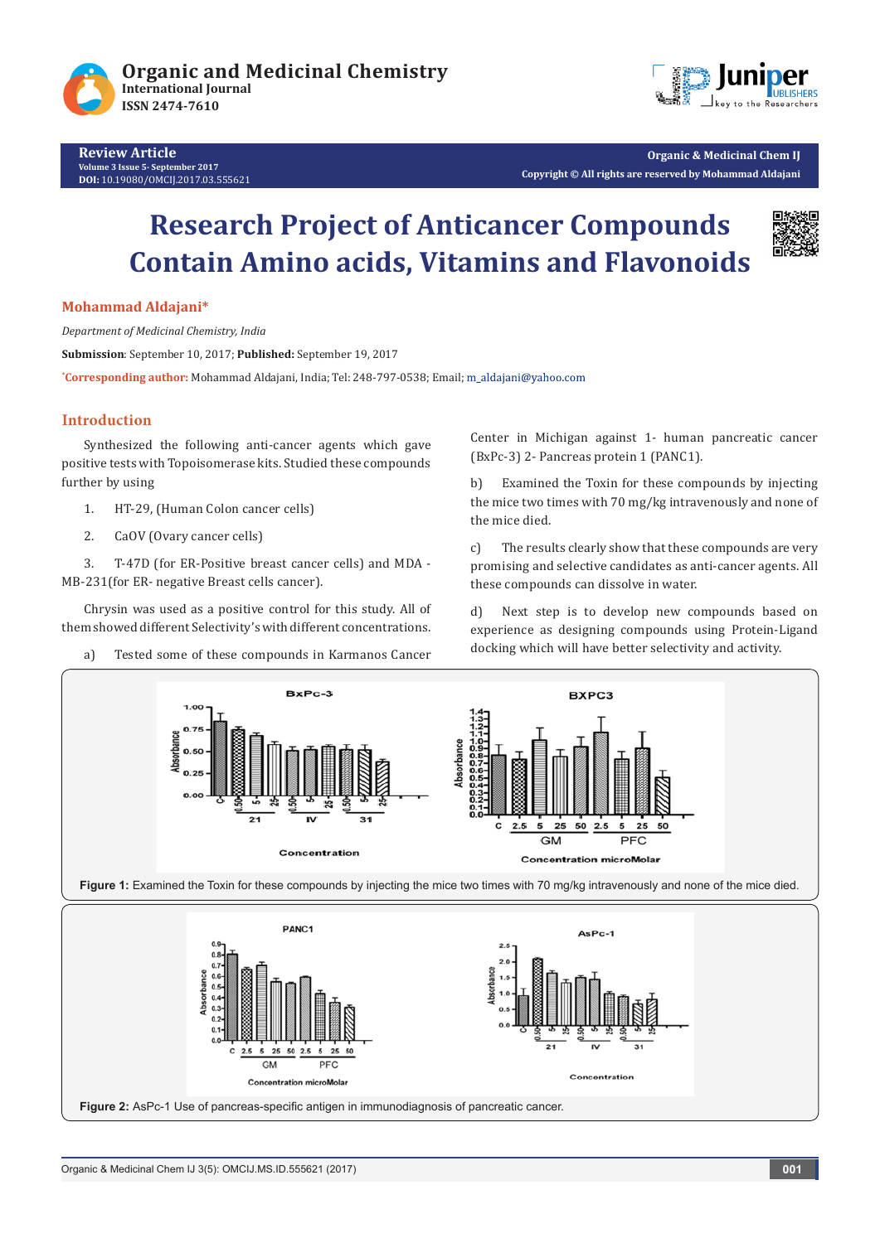



**Organic & Medicinal Chem IJ Copyright © All rights are reserved by Mohammad Aldajani**

# **Research Project of Anticancer Compounds Contain Amino acids, Vitamins and Flavonoids**



#### **Mohammad Aldajani\***

*Department of Medicinal Chemistry, India*

**Submission**: September 10, 2017; **Published:** September 19, 2017

**\* Corresponding author:** Mohammad Aldajani, India; Tel: 248-797-0538; Email;

### **Introduction**

Synthesized the following anti-cancer agents which gave positive tests with Topoisomerase kits. Studied these compounds further by using

- 1. HT-29, (Human Colon cancer cells)
- 2. CaOV (Ovary cancer cells)

3. T-47D (for ER-Positive breast cancer cells) and MDA - MB-231(for ER- negative Breast cells cancer).

Chrysin was used as a positive control for this study. All of them showed different Selectivity's with different concentrations.

a) Tested some of these compounds in Karmanos Cancer

Center in Michigan against 1- human pancreatic cancer (BxPc-3) 2- Pancreas protein 1 (PANC1).

b) Examined the Toxin for these compounds by injecting the mice two times with 70 mg/kg intravenously and none of the mice died.

c) The results clearly show that these compounds are very promising and selective candidates as anti-cancer agents. All these compounds can dissolve in water.

d) Next step is to develop new compounds based on experience as designing compounds using Protein-Ligand docking which will have better selectivity and activity.





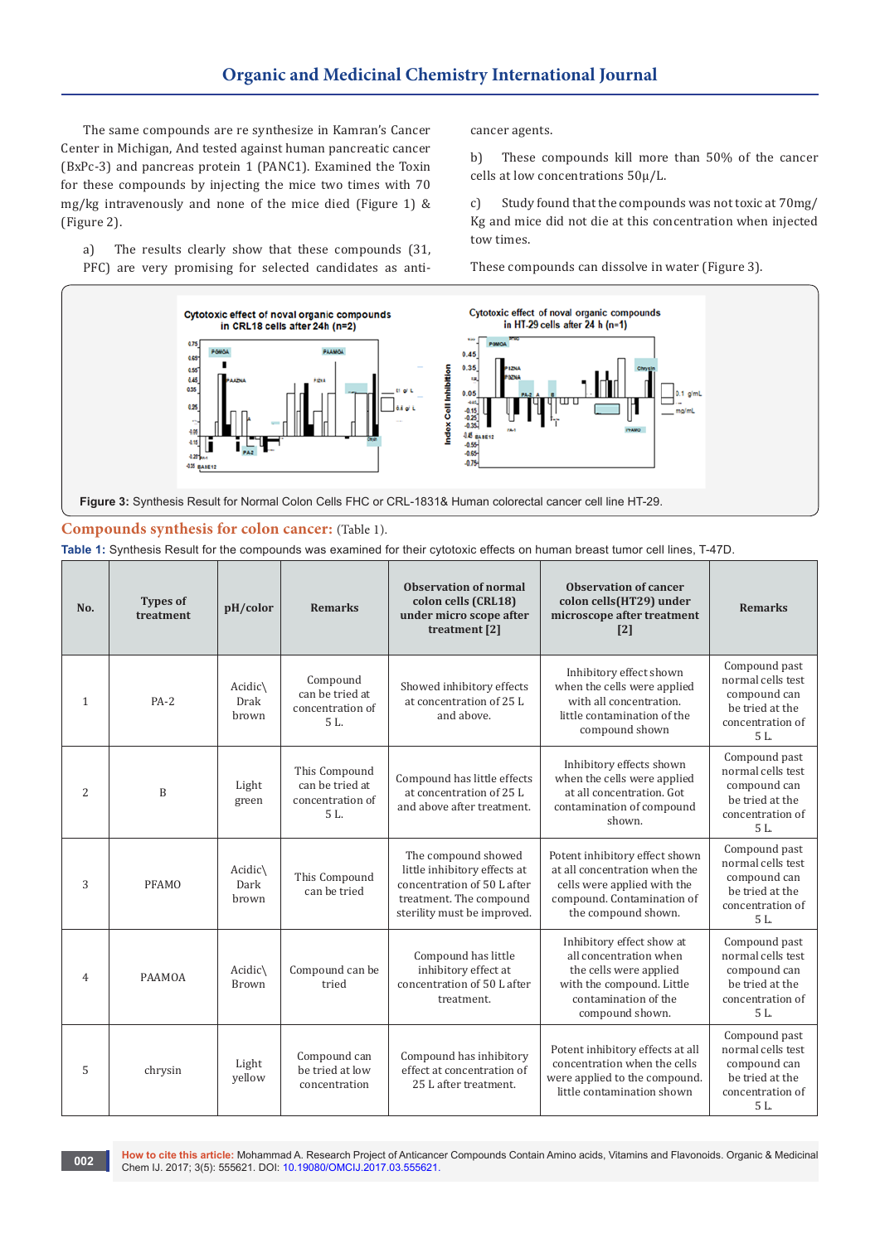The same compounds are re synthesize in Kamran's Cancer Center in Michigan, And tested against human pancreatic cancer (BxPc-3) and pancreas protein 1 (PANC1). Examined the Toxin for these compounds by injecting the mice two times with 70 mg/kg intravenously and none of the mice died (Figure 1) & (Figure 2).

a) The results clearly show that these compounds (31, PFC) are very promising for selected candidates as anticancer agents.

b) These compounds kill more than 50% of the cancer cells at low concentrations 50µ/L.

c) Study found that the compounds was not toxic at 70mg/ Kg and mice did not die at this concentration when injected tow times.

These compounds can dissolve in water (Figure 3).



#### **Compounds synthesis for colon cancer:** (Table 1).

**Table 1:** Synthesis Result for the compounds was examined for their cytotoxic effects on human breast tumor cell lines, T-47D.

| No.            | <b>Types of</b><br>treatment | pH/color                           | <b>Remarks</b>                                              | <b>Observation of normal</b><br>colon cells (CRL18)<br>under micro scope after<br>treatment [2]                                              | Observation of cancer<br>colon cells(HT29) under<br>microscope after treatment<br>$\lceil 2 \rceil$                                                   | <b>Remarks</b>                                                                                    |
|----------------|------------------------------|------------------------------------|-------------------------------------------------------------|----------------------------------------------------------------------------------------------------------------------------------------------|-------------------------------------------------------------------------------------------------------------------------------------------------------|---------------------------------------------------------------------------------------------------|
| $\mathbf{1}$   | $PA-2$                       | $Acidic\setminus$<br>Drak<br>brown | Compound<br>can be tried at<br>concentration of<br>5L.      | Showed inhibitory effects<br>at concentration of 25 L<br>and above.                                                                          | Inhibitory effect shown<br>when the cells were applied<br>with all concentration.<br>little contamination of the<br>compound shown                    | Compound past<br>normal cells test<br>compound can<br>be tried at the<br>concentration of<br>5L.  |
| 2              | B                            | Light<br>green                     | This Compound<br>can be tried at<br>concentration of<br>5L. | Compound has little effects<br>at concentration of 25 L<br>and above after treatment.                                                        | Inhibitory effects shown<br>when the cells were applied<br>at all concentration. Got<br>contamination of compound<br>shown.                           | Compound past<br>normal cells test<br>compound can<br>be tried at the<br>concentration of<br>5L.  |
| 3              | <b>PFAMO</b>                 | Acidic\<br>Dark<br>hrown           | This Compound<br>can be tried                               | The compound showed<br>little inhibitory effects at<br>concentration of 50 L after<br>treatment. The compound<br>sterility must be improved. | Potent inhibitory effect shown<br>at all concentration when the<br>cells were applied with the<br>compound. Contamination of<br>the compound shown.   | Compound past<br>normal cells test<br>compound can<br>be tried at the<br>concentration of<br>5L.  |
| $\overline{4}$ | PAAMOA                       | Acidic\<br>Brown                   | Compound can be<br>tried                                    | Compound has little<br>inhibitory effect at<br>concentration of 50 L after<br>treatment.                                                     | Inhibitory effect show at<br>all concentration when<br>the cells were applied<br>with the compound. Little<br>contamination of the<br>compound shown. | Compound past<br>normal cells test<br>compound can<br>be tried at the<br>concentration of<br>5 L. |
| 5              | chrysin                      | Light<br>yellow                    | Compound can<br>be tried at low<br>concentration            | Compound has inhibitory<br>effect at concentration of<br>25 L after treatment.                                                               | Potent inhibitory effects at all<br>concentration when the cells<br>were applied to the compound.<br>little contamination shown                       | Compound past<br>normal cells test<br>compound can<br>be tried at the<br>concentration of<br>5L.  |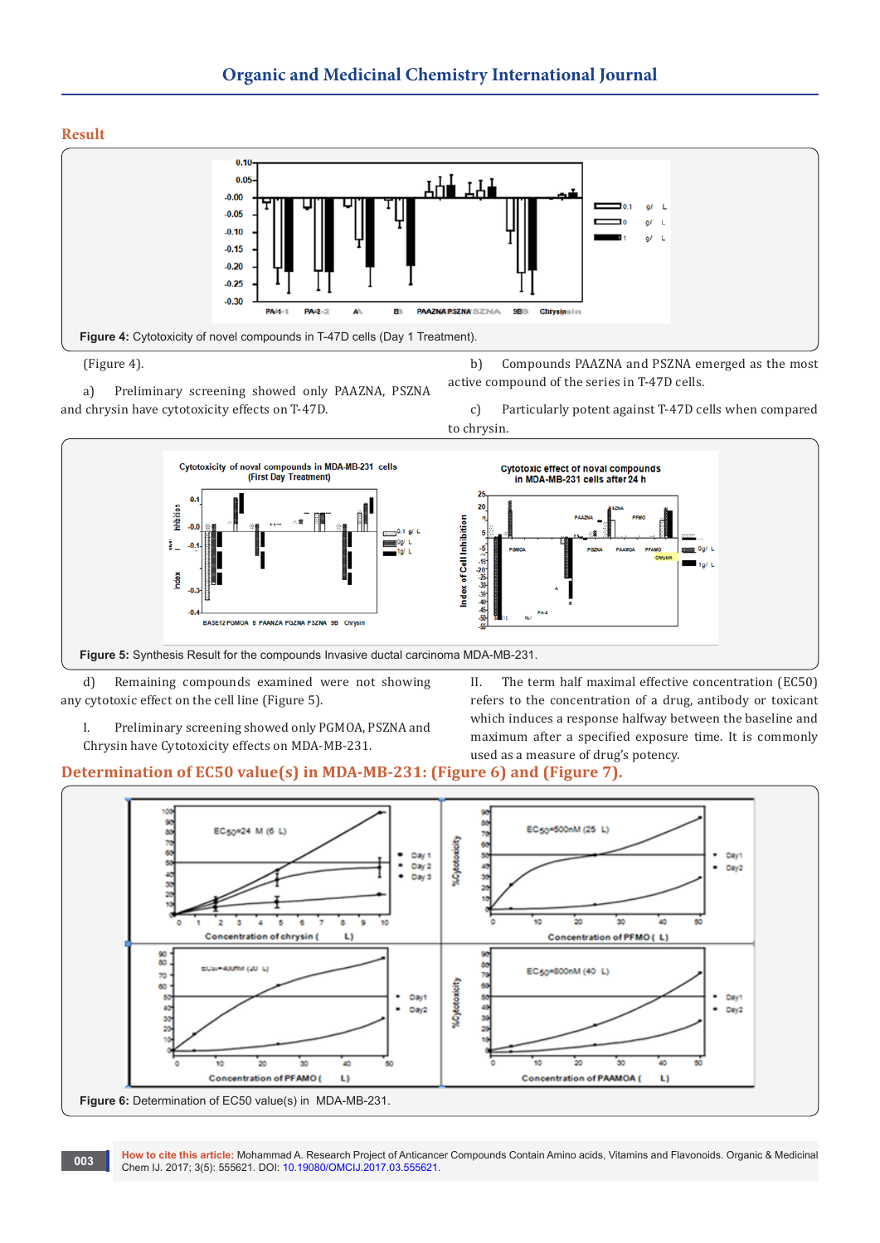**Result** 



<sup>(</sup>Figure 4).

a) Preliminary screening showed only PAAZNA, PSZNA and chrysin have cytotoxicity effects on T-47D.



d) Remaining compounds examined were not showing any cytotoxic effect on the cell line (Figure 5).

I. Preliminary screening showed only PGMOA, PSZNA and Chrysin have Cytotoxicity effects on MDA-MB-231.

II. The term half maximal effective concentration (EC50) refers to the concentration of a drug, antibody or toxicant which induces a response halfway between the baseline and maximum after a specified exposure time. It is commonly used as a measure of drug's potency.

b) Compounds PAAZNA and PSZNA emerged as the most

## **Determination of EC50 value(s) in MDA-MB-231: (Figure 6) and (Figure 7).**



**How to cite this article:** Mohammad A. Research Project of Anticancer Compounds Contain Amino acids, Vitamins and Flavonoids. Organic & Medicinal **Chem IJ. 2017; 3(5): 555621. DOI: [10.19080/OMCIJ.2017.03.555621.](http://dx.doi.org/10.19080/omcij.2017.03.555621) Chem IJ. 2017; 3(5): 555621. DOI: 10.19080/OMCIJ.2017.03.555621.** 

c) Particularly potent against T-47D cells when compared to chrysin.

active compound of the series in T-47D cells.